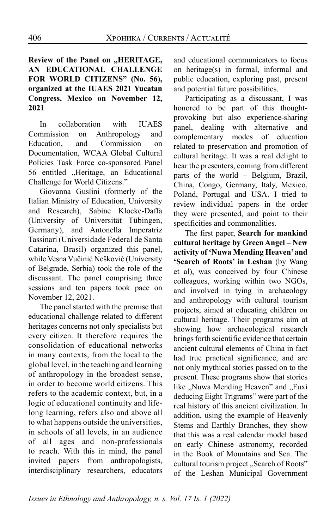## **Review of the Panel on "HERITAGE, AN EDUCATIONAL CHALLENGE FOR WORLD CITIZENS" (No. 56), organized at the IUAES 2021 Yucatan Congress, Mexico on November 12, 2021**

In collaboration with IUAES Commission on Anthropology and Education, and Commission on Documentation, WCAA Global Cultural Policies Task Force co-sponsored Panel 56 entitled ..Heritage, an Educational Challenge for World Citizens."

Giovanna Guslini (formerly of the Italian Ministry of Education, University and Research), Sabine Klocke-Daffa (University of Universität Tübingen, Germany), and Antonella Imperatriz Tassinari (Universidade Federal de Santa Catarina, Brasil) organized this panel, while Vesna Vučinić Nešković (University of Belgrade, Serbia) took the role of the discussant. The panel comprising three sessions and ten papers took pace on November 12, 2021.

The panel started with the premise that educational challenge related to different heritages concerns not only specialists but every citizen. It therefore requires the consolidation of educational networks in many contexts, from the local to the global level, in the teaching and learning of anthropology in the broadest sense, in order to become world citizens. This refers to the academic context, but, in a logic of educational continuity and lifelong learning, refers also and above all to what happens outside the universities, in schools of all levels, in an audience of all ages and non-professionals to reach. With this in mind, the panel invited papers from anthropologists, interdisciplinary researchers, educators

and educational communicators to focus on heritage(s) in formal, informal and public education, exploring past, present and potential future possibilities.

Participating as a discussant, I was honored to be part of this thoughtprovoking but also experience-sharing panel, dealing with alternative and complementary modes of education related to preservation and promotion of cultural heritage. It was a real delight to hear the presenters, coming from different parts of the world – Belgium, Brazil, China, Congo, Germany, Italy, Mexico, Poland, Portugal and USA. I tried to review individual papers in the order they were presented, and point to their specificities and commonalities.

The first paper, **Search for mankind cultural heritage by Green Angel – New activity of 'Nuwa Mending Heaven' and 'Search of Roots' in Leshan** (by Wang et al), was conceived by four Chinese colleagues, working within two NGOs, and involved in tying in archaeology and anthropology with cultural tourism projects, aimed at educating children on cultural heritage. Their programs aim at showing how archaeological research brings forth scientific evidence that certain ancient cultural elements of China in fact had true practical significance, and are not only mythical stories passed on to the present. These programs show that stories like ..Nuwa Mending Heaven" and ..Fuxi deducing Eight Trigrams" were part of the real history of this ancient civilization. In addition, using the example of Heavenly Stems and Earthly Branches, they show that this was a real calendar model based on early Chinese astronomy, recorded in the Book of Mountains and Sea. The cultural tourism project "Search of Roots" of the Leshan Municipal Government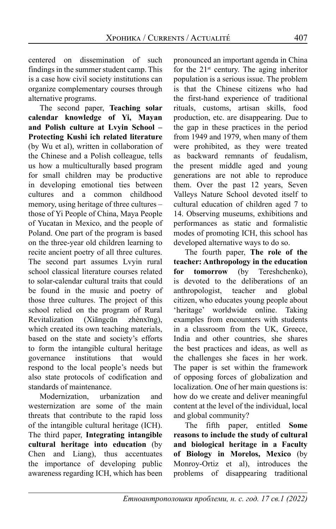centered on dissemination of such findings in the summer student camp. This is a case how civil society institutions can organize complementary courses through alternative programs.

The second paper, **Teaching solar calendar knowledge of Yi, Mayan and Polish culture at Lvyin School – Protecting Kushi ich related literature**  (by Wu et al), written in collaboration of the Chinese and a Polish colleague, tells us how a multiculturally based program for small children may be productive in developing emotional ties between cultures and a common childhood memory, using heritage of three cultures – those of Yi People of China, Maya People of Yucatan in Mexico, and the people of Poland. One part of the program is based on the three-year old children learning to recite ancient poetry of all three cultures. The second part assumes Lvyin rural school classical literature courses related to solar-calendar cultural traits that could be found in the music and poetry of those three cultures. The project of this school relied on the program of Rural Revitalization (Xiāngcūn zhènxīng), which created its own teaching materials, based on the state and society's efforts to form the intangible cultural heritage governance institutions that would respond to the local people's needs but also state protocols of codification and standards of maintenance.

Modernization, urbanization and westernization are some of the main threats that contribute to the rapid loss of the intangible cultural heritage (ICH). The third paper, **Integrating intangible cultural heritage into education** (by Chen and Liang), thus accentuates the importance of developing public awareness regarding ICH, which has been pronounced an important agenda in China for the  $21<sup>st</sup>$  century. The aging inheritor population is a serious issue. The problem is that the Chinese citizens who had the first-hand experience of traditional rituals, customs, artisan skills, food production, etc. are disappearing. Due to the gap in these practices in the period from 1949 and 1979, when many of them were prohibited, as they were treated as backward remnants of feudalism, the present middle aged and young generations are not able to reproduce them. Over the past 12 years, Seven Valleys Nature School devoted itself to cultural education of children aged 7 to 14. Observing museums, exhibitions and performances as static and formalistic modes of promoting ICH, this school has developed alternative ways to do so.

The fourth paper, **The role of the teacher: Anthropology in the education for tomorrow** (by Tereshchenko), is devoted to the deliberations of an anthropologist, teacher and global citizen, who educates young people about 'heritage' worldwide online. Taking examples from encounters with students in a classroom from the UK, Greece, India and other countries, she shares the best practices and ideas, as well as the challenges she faces in her work. The paper is set within the framework of opposing forces of globalization and localization. One of her main questions is: how do we create and deliver meaningful content at the level of the individual, local and global community?

The fifth paper, entitled **Some reasons to include the study of cultural and biological heritage in a Faculty of Biology in Morelos, Mexico** (by Monroy-Ortiz et al), introduces the problems of disappearing traditional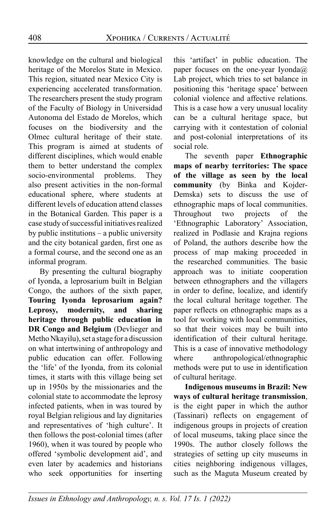knowledge on the cultural and biological heritage of the Morelos State in Mexico. This region, situated near Mexico City is experiencing accelerated transformation. The researchers present the study program of the Faculty of Biology in Universidad Autonoma del Estado de Morelos, which focuses on the biodiversity and the Olmec cultural heritage of their state. This program is aimed at students of different disciplines, which would enable them to better understand the complex socio-environmental problems. They also present activities in the non-formal educational sphere, where students at different levels of education attend classes in the Botanical Garden. This paper is a case study of successful initiatives realized by public institutions – a public university and the city botanical garden, first one as a formal course, and the second one as an informal program.

By presenting the cultural biography of Iyonda, a leprosarium built in Belgian Congo, the authors of the sixth paper, **Touring Iyonda leprosarium again? Leprosy, modernity, and sharing heritage through public education in DR Congo and Belgium** (Devlieger and Metho Nkayilu), set a stage for a discussion on what intertwining of anthropology and public education can offer. Following the 'life' of the Iyonda, from its colonial times, it starts with this village being set up in 1950s by the missionaries and the colonial state to accommodate the leprosy infected patients, when in was toured by royal Belgian religious and lay dignitaries and representatives of 'high culture'. It then follows the post-colonial times (after 1960), when it was toured by people who offered 'symbolic development aid', and even later by academics and historians who seek opportunities for inserting this 'artifact' in public education. The paper focuses on the one-year Iyonda@ Lab project, which tries to set balance in positioning this 'heritage space' between colonial violence and affective relations. This is a case how a very unusual locality can be a cultural heritage space, but carrying with it contestation of colonial and post-colonial interpretations of its social role.

The seventh paper **Ethnographic maps of nearby territories: The space of the village as seen by the local community** (by Binka and Kojder-Demska) sets to discuss the use of ethnographic maps of local communities. Throughout two projects of the 'Ethnographic Laboratory' Association, realized in Podlasie and Krajna regions of Poland, the authors describe how the process of map making proceeded in the researched communities. The basic approach was to initiate cooperation between ethnographers and the villagers in order to define, localize, and identify the local cultural heritage together. The paper reflects on ethnographic maps as a tool for working with local communities, so that their voices may be built into identification of their cultural heritage. This is a case of innovative methodology where anthropological/ethnographic methods were put to use in identification of cultural heritage.

**Indigenous museums in Brazil: New ways of cultural heritage transmission**, is the eight paper in which the author (Tassinari) reflects on engagement of indigenous groups in projects of creation of local museums, taking place since the 1990s. The author closely follows the strategies of setting up city museums in cities neighboring indigenous villages, such as the Maguta Museum created by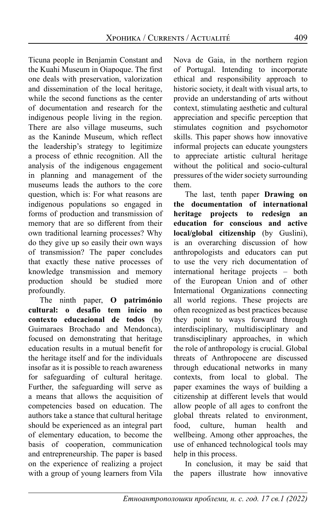Ticuna people in Benjamin Constant and the Kuahi Museum in Oiapoque. The first one deals with preservation, valorization and dissemination of the local heritage, while the second functions as the center of documentation and research for the indigenous people living in the region. There are also village museums, such as the Kaninde Museum, which reflect the leadership's strategy to legitimize a process of ethnic recognition. All the analysis of the indigenous engagement in planning and management of the museums leads the authors to the core question, which is: For what reasons are indigenous populations so engaged in forms of production and transmission of memory that are so different from their own traditional learning processes? Why do they give up so easily their own ways of transmission? The paper concludes that exactly these native processes of knowledge transmission and memory production should be studied more profoundly.

The ninth paper, **O património cultural: o desafio tem início no contexto educacional de todos** (by Guimaraes Brochado and Mendonca), focused on demonstrating that heritage education results in a mutual benefit for the heritage itself and for the individuals insofar as it is possible to reach awareness for safeguarding of cultural heritage. Further, the safeguarding will serve as a means that allows the acquisition of competencies based on education. The authors take a stance that cultural heritage should be experienced as an integral part of elementary education, to become the basis of cooperation, communication and entrepreneurship. The paper is based on the experience of realizing a project with a group of young learners from Vila Nova de Gaia, in the northern region of Portugal. Intending to incorporate ethical and responsibility approach to historic society, it dealt with visual arts, to provide an understanding of arts without context, stimulating aesthetic and cultural appreciation and specific perception that stimulates cognition and psychomotor skills. This paper shows how innovative informal projects can educate youngsters to appreciate artistic cultural heritage without the political and socio-cultural pressures of the wider society surrounding them.

The last, tenth paper **Drawing on the documentation of international heritage projects to redesign an education for conscious and active local/global citizenship** (by Guslini), is an overarching discussion of how anthropologists and educators can put to use the very rich documentation of international heritage projects – both of the European Union and of other International Organizations connecting all world regions. These projects are often recognized as best practices because they point to ways forward through interdisciplinary, multidisciplinary and transdisciplinary approaches, in which the role of anthropology is crucial. Global threats of Anthropocene are discussed through educational networks in many contexts, from local to global. The paper examines the ways of building a citizenship at different levels that would allow people of all ages to confront the global threats related to environment, food, culture, human health and wellbeing. Among other approaches, the use of enhanced technological tools may help in this process.

In conclusion, it may be said that the papers illustrate how innovative